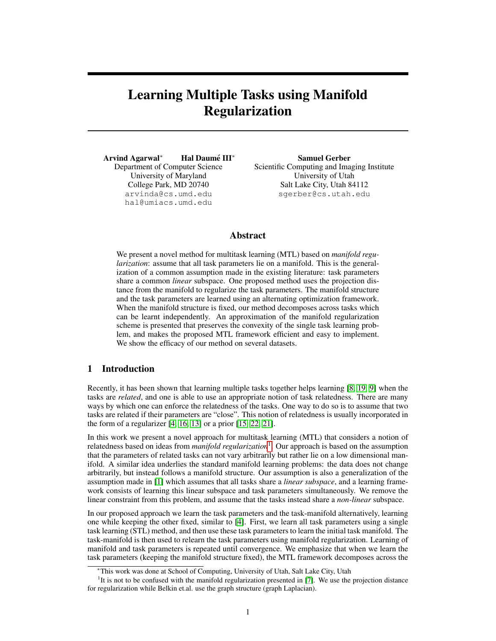# Learning Multiple Tasks using Manifold Regularization

Arvind Agarwal<sup>\*</sup> **Hal Daumé III**<sup>\*</sup> Department of Computer Science University of Maryland College Park, MD 20740 arvinda@cs.umd.edu hal@umiacs.umd.edu

Samuel Gerber Scientific Computing and Imaging Institute University of Utah Salt Lake City, Utah 84112 sgerber@cs.utah.edu

# Abstract

We present a novel method for multitask learning (MTL) based on *manifold regularization*: assume that all task parameters lie on a manifold. This is the generalization of a common assumption made in the existing literature: task parameters share a common *linear* subspace. One proposed method uses the projection distance from the manifold to regularize the task parameters. The manifold structure and the task parameters are learned using an alternating optimization framework. When the manifold structure is fixed, our method decomposes across tasks which can be learnt independently. An approximation of the manifold regularization scheme is presented that preserves the convexity of the single task learning problem, and makes the proposed MTL framework efficient and easy to implement. We show the efficacy of our method on several datasets.

## 1 Introduction

Recently, it has been shown that learning multiple tasks together helps learning [8, 19, 9] when the tasks are *related*, and one is able to use an appropriate notion of task relatedness. There are many ways by which one can enforce the relatedness of the tasks. One way to do so is to assume that two tasks are related if their parameters are "close". This notion of relatedness is usually incorporated in the form of a regularizer  $[4, 16, 13]$  or a prior  $[15, 22, 21]$ .

In this work we present a novel approach for multitask learning (MTL) that considers a notion of relatedness based on ideas from *manifold regularization*1 . Our approach is based on the assumption that the parameters of related tasks can not vary arbitrarily but rather lie on a low dimensional manifold. A similar idea underlies the standard manifold learning problems: the data does not change arbitrarily, but instead follows a manifold structure. Our assumption is also a generalization of the assumption made in [1] which assumes that all tasks share a *linear subspace*, and a learning framework consists of learning this linear subspace and task parameters simultaneously. We remove the linear constraint from this problem, and assume that the tasks instead share a *non-linear* subspace.

In our proposed approach we learn the task parameters and the task-manifold alternatively, learning one while keeping the other fixed, similar to [4]. First, we learn all task parameters using a single task learning (STL) method, and then use these task parameters to learn the initial task manifold. The task-manifold is then used to relearn the task parameters using manifold regularization. Learning of manifold and task parameters is repeated until convergence. We emphasize that when we learn the task parameters (keeping the manifold structure fixed), the MTL framework decomposes across the

This work was done at School of Computing, University of Utah, Salt Lake City, Utah

<sup>&</sup>lt;sup>1</sup>It is not to be confused with the manifold regularization presented in [7]. We use the projection distance for regularization while Belkin et.al. use the graph structure (graph Laplacian).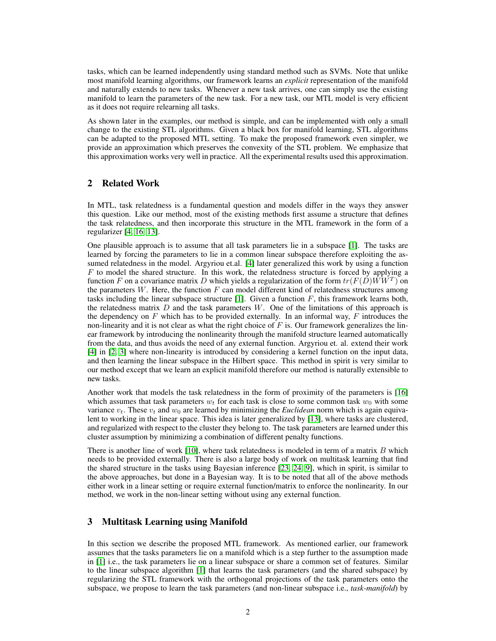tasks, which can be learned independently using standard method such as SVMs. Note that unlike most manifold learning algorithms, our framework learns an *explicit* representation of the manifold and naturally extends to new tasks. Whenever a new task arrives, one can simply use the existing manifold to learn the parameters of the new task. For a new task, our MTL model is very efficient as it does not require relearning all tasks.

As shown later in the examples, our method is simple, and can be implemented with only a small change to the existing STL algorithms. Given a black box for manifold learning, STL algorithms can be adapted to the proposed MTL setting. To make the proposed framework even simpler, we provide an approximation which preserves the convexity of the STL problem. We emphasize that this approximation works very well in practice. All the experimental results used this approximation.

## 2 Related Work

In MTL, task relatedness is a fundamental question and models differ in the ways they answer this question. Like our method, most of the existing methods first assume a structure that defines the task relatedness, and then incorporate this structure in the MTL framework in the form of a regularizer [4, 16, 13].

One plausible approach is to assume that all task parameters lie in a subspace [1]. The tasks are learned by forcing the parameters to lie in a common linear subspace therefore exploiting the assumed relatedness in the model. Argyriou et.al. [4] later generalized this work by using a function  $F$  to model the shared structure. In this work, the relatedness structure is forced by applying a function F on a covariance matrix D which yields a regularization of the form  $tr(F(D)\hat{W}\hat{W}^T)$  on the parameters  $W$ . Here, the function  $F$  can model different kind of relatedness structures among tasks including the linear subspace structure [1]. Given a function  $F$ , this framework learns both, the relatedness matrix  $D$  and the task parameters  $W$ . One of the limitations of this approach is the dependency on  $F$  which has to be provided externally. In an informal way,  $F$  introduces the non-linearity and it is not clear as what the right choice of  $F$  is. Our framework generalizes the linear framework by introducing the nonlinearity through the manifold structure learned automatically from the data, and thus avoids the need of any external function. Argyriou et. al. extend their work [4] in [2, 3] where non-linearity is introduced by considering a kernel function on the input data, and then learning the linear subspace in the Hilbert space. This method in spirit is very similar to our method except that we learn an explicit manifold therefore our method is naturally extensible to new tasks.

Another work that models the task relatedness in the form of proximity of the parameters is [16] which assumes that task parameters  $w_t$  for each task is close to some common task  $w_0$  with some variance  $v_t$ . These  $v_t$  and  $w_0$  are learned by minimizing the *Euclidean* norm which is again equivalent to working in the linear space. This idea is later generalized by [13], where tasks are clustered, and regularized with respect to the cluster they belong to. The task parameters are learned under this cluster assumption by minimizing a combination of different penalty functions.

There is another line of work  $[10]$ , where task relatedness is modeled in term of a matrix B which needs to be provided externally. There is also a large body of work on multitask learning that find the shared structure in the tasks using Bayesian inference [23, 24, 9], which in spirit, is similar to the above approaches, but done in a Bayesian way. It is to be noted that all of the above methods either work in a linear setting or require external function/matrix to enforce the nonlinearity. In our method, we work in the non-linear setting without using any external function.

## 3 Multitask Learning using Manifold

In this section we describe the proposed MTL framework. As mentioned earlier, our framework assumes that the tasks parameters lie on a manifold which is a step further to the assumption made in [1] i.e., the task parameters lie on a linear subspace or share a common set of features. Similar to the linear subspace algorithm [1] that learns the task parameters (and the shared subspace) by regularizing the STL framework with the orthogonal projections of the task parameters onto the subspace, we propose to learn the task parameters (and non-linear subspace i.e., *task-manifold*) by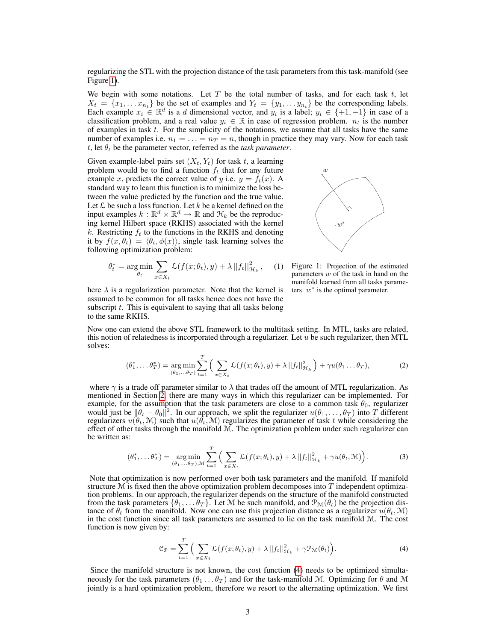regularizing the STL with the projection distance of the task parameters from this task-manifold (see Figure 1).

We begin with some notations. Let  $T$  be the total number of tasks, and for each task  $t$ , let  $X_t = \{x_1, \ldots x_{n_t}\}$  be the set of examples and  $Y_t = \{y_1, \ldots y_{n_t}\}$  be the corresponding labels. Each example  $x_i \in \mathbb{R}^d$  is a d dimensional vector, and  $y_i$  is a label;  $y_i \in \{+1, -1\}$  in case of a classification problem, and a real value  $y_i \in \mathbb{R}$  in case of regression problem.  $n_t$  is the number of examples in task  $t$ . For the simplicity of the notations, we assume that all tasks have the same number of examples i.e.  $n_1 = \ldots = n_T = n$ , though in practice they may vary. Now for each task t, let  $\theta_t$  be the parameter vector, referred as the *task parameter*.

Given example-label pairs set  $(X_t, Y_t)$  for task t, a learning problem would be to find a function  $f_t$  that for any future example x, predicts the correct value of y i.e.  $y = f_t(x)$ . A standard way to learn this function is to minimize the loss between the value predicted by the function and the true value. Let  $\mathcal L$  be such a loss function. Let  $k$  be a kernel defined on the input examples  $k : \mathbb{R}^d \times \mathbb{R}^d \to \mathbb{R}$  and  $\mathcal{H}_k$  be the reproducing kernel Hilbert space (RKHS) associated with the kernel k. Restricting  $f_t$  to the functions in the RKHS and denoting it by  $f(x, \theta_t) = \langle \theta_t, \phi(x) \rangle$ , single task learning solves the following optimization problem:

$$
\theta_t^* = \underset{\theta_t}{\text{arg min}} \sum_{x \in X_t} \mathcal{L}(f(x; \theta_t), y) + \lambda ||f_t||_{\mathcal{H}_k}^2, \quad (
$$



 $w^*$ ∗

 $\overline{w}$ 

here  $\lambda$  is a regularization parameter. Note that the kernel is assumed to be common for all tasks hence does not have the subscript  $t$ . This is equivalent to saying that all tasks belong to the same RKHS.

Now one can extend the above STL framework to the multitask setting. In MTL, tasks are related, this notion of relatedness is incorporated through a regularizer. Let  $u$  be such regularizer, then MTL solves:

$$
(\theta_1^*, \dots \theta_T^*) = \underset{(\theta_1, \dots, \theta_T)}{\arg \min} \sum_{t=1}^T \Big( \sum_{x \in X_t} \mathcal{L}(f(x; \theta_t), y) + \lambda ||f_t||_{\mathcal{H}_k}^2 \Big) + \gamma u(\theta_1 \dots \theta_T), \tag{2}
$$

where  $\gamma$  is a trade off parameter similar to  $\lambda$  that trades off the amount of MTL regularization. As mentioned in Section  $\tilde{2}$ , there are many ways in which this regularizer can be implemented. For example, for the assumption that the task parameters are close to a common task  $\theta_0$ , regularizer would just be  $\|\theta_t - \theta_0\|^2$ . In our approach, we split the regularizer  $u(\theta_1, \dots, \theta_T)$  into T different regularizers  $u(\theta_t, \mathcal{M})$  such that  $u(\bar{\theta_t}, \mathcal{M})$  regularizes the parameter of task t while considering the effect of other tasks through the manifold  $M$ . The optimization problem under such regularizer can be written as:

$$
(\theta_1^*, \dots \theta_T^*) = \underset{(\theta_1, \dots, \theta_T), \mathcal{M}}{\arg \min} \sum_{t=1}^T \Big( \sum_{x \in X_t} \mathcal{L}(f(x; \theta_t), y) + \lambda ||f_t||_{\mathcal{H}_k}^2 + \gamma u(\theta_t, \mathcal{M}) \Big). \tag{3}
$$

Note that optimization is now performed over both task parameters and the manifold. If manifold structure  $M$  is fixed then the above optimization problem decomposes into  $T$  independent optimization problems. In our approach, the regularizer depends on the structure of the manifold constructed from the task parameters  $\{\theta_1, \ldots \theta_T\}$ . Let M be such manifold, and  $\mathcal{P}_{\mathcal{M}}(\theta_t)$  be the projection distance of  $\theta_t$  from the manifold. Now one can use this projection distance as a regularizer  $u(\theta_t, \mathcal{M})$ in the cost function since all task parameters are assumed to lie on the task manifold M. The cost function is now given by:

$$
\mathcal{C}_{\mathcal{P}} = \sum_{t=1}^{T} \Big( \sum_{x \in X_t} \mathcal{L}(f(x; \theta_t), y) + \lambda ||f_t||_{\mathcal{H}_k}^2 + \gamma \mathcal{P}_{\mathcal{M}}(\theta_t) \Big). \tag{4}
$$

Since the manifold structure is not known, the cost function (4) needs to be optimized simultaneously for the task parameters  $(\theta_1 \dots \theta_T)$  and for the task-manifold M. Optimizing for  $\theta$  and M jointly is a hard optimization problem, therefore we resort to the alternating optimization. We first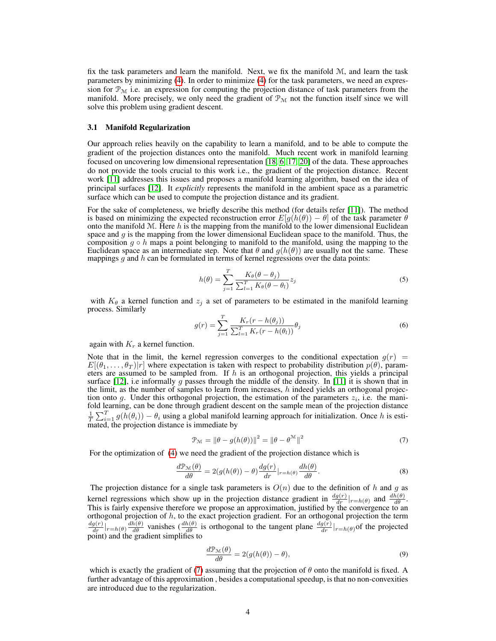fix the task parameters and learn the manifold. Next, we fix the manifold  $M$ , and learn the task parameters by minimizing (4). In order to minimize (4) for the task parameters, we need an expression for  $\mathcal{P}_{\mathcal{M}}$  i.e. an expression for computing the projection distance of task parameters from the manifold. More precisely, we only need the gradient of  $\mathcal{P}_{\mathcal{M}}$  not the function itself since we will solve this problem using gradient descent.

#### 3.1 Manifold Regularization

Our approach relies heavily on the capability to learn a manifold, and to be able to compute the gradient of the projection distances onto the manifold. Much recent work in manifold learning focused on uncovering low dimensional representation [18, 6, 17, 20] of the data. These approaches do not provide the tools crucial to this work i.e., the gradient of the projection distance. Recent work [11] addresses this issues and proposes a manifold learning algorithm, based on the idea of principal surfaces [12]. It *explicitly* represents the manifold in the ambient space as a parametric surface which can be used to compute the projection distance and its gradient.

For the sake of completeness, we briefly describe this method (for details refer [11]). The method is based on minimizing the expected reconstruction error  $E[g(h(\theta)) - \theta]$  of the task parameter  $\theta$ onto the manifold  $M$ . Here h is the mapping from the manifold to the lower dimensional Euclidean space and  $g$  is the mapping from the lower dimensional Euclidean space to the manifold. Thus, the composition  $g \circ h$  maps a point belonging to manifold to the manifold, using the mapping to the Euclidean space as an intermediate step. Note that  $\theta$  and  $g(h(\theta))$  are usually not the same. These mappings  $g$  and  $h$  can be formulated in terms of kernel regressions over the data points:

$$
h(\theta) = \sum_{j=1}^{T} \frac{K_{\theta}(\theta - \theta_j)}{\sum_{l=1}^{T} K_{\theta}(\theta - \theta_l)} z_j
$$
\n(5)

with  $K_{\theta}$  a kernel function and  $z_i$  a set of parameters to be estimated in the manifold learning process. Similarly

$$
g(r) = \sum_{j=1}^{T} \frac{K_r(r - h(\theta_j))}{\sum_{l=1}^{T} K_r(r - h(\theta_l))} \theta_j
$$
\n(6)

again with  $K_r$  a kernel function.

Note that in the limit, the kernel regression converges to the conditional expectation  $g(r)$  =  $E[(\theta_1,\ldots,\theta_T)|r]$  where expectation is taken with respect to probability distribution  $p(\theta)$ , parameters are assumed to be sampled from. If  $h$  is an orthogonal projection, this yields a principal surface [12], i.e informally g passes through the middle of the density. In [11] it is shown that in the limit, as the number of samples to learn from increases, h indeed yields an orthogonal projection onto g. Under this orthogonal projection, the estimation of the parameters  $z_i$ , i.e. the manifold learning, can be done through gradient descent on the sample mean of the projection distance  $\frac{1}{T}\sum_{i=1}^{T} g(h(\theta_i)) - \theta_i$  using a global manifold learning approach for initialization. Once h is estimated, the projection distance is immediate by

$$
\mathcal{P}_{\mathcal{M}} = \|\theta - g(h(\theta))\|^2 = \|\theta - \theta^{\mathcal{M}}\|^2 \tag{7}
$$

For the optimization of (4) we need the gradient of the projection distance which is

$$
\frac{d\mathcal{P}_{\mathcal{M}}(\theta)}{d\theta} = 2(g(h(\theta)) - \theta) \frac{dg(r)}{dr}|_{r=h(\theta)} \frac{dh(\theta)}{d\theta}.
$$
\n(8)

The projection distance for a single task parameters is  $O(n)$  due to the definition of h and g as kernel regressions which show up in the projection distance gradient in  $\frac{dg(r)}{dr}|_{r=h(\theta)}$  and  $\frac{dh(\theta)}{d\theta}$ . This is fairly expensive therefore we propose an approximation, justified by the convergence to an orthogonal projection of  $h$ , to the exact projection gradient. For an orthogonal projection the term  $\frac{dg(r)}{dr}|_{r=h(\theta)}\frac{dh(\theta)}{d\theta}$  vanishes  $\left(\frac{dh(\theta)}{d\theta}\right)$  is orthogonal to the tangent plane  $\frac{dg(r)}{dr}|_{r=h(\theta)}$  of the projected point) and the gradient simplifies to

$$
\frac{d\mathcal{P}_{\mathcal{M}}(\theta)}{d\theta} = 2(g(h(\theta)) - \theta),\tag{9}
$$

which is exactly the gradient of (7) assuming that the projection of  $\theta$  onto the manifold is fixed. A further advantage of this approximation , besides a computational speedup, is that no non-convexities are introduced due to the regularization.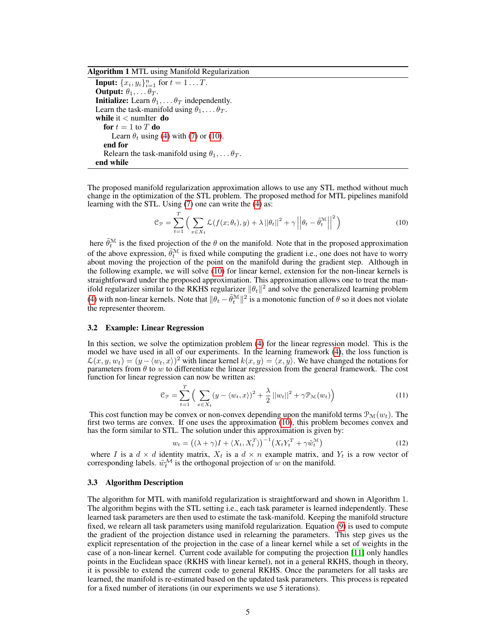Algorithm 1 MTL using Manifold Regularization

**Input:**  $\{x_i, y_i\}_{i=1}^n$  for  $t = 1...T$ . **Output:**  $\theta_1, \ldots \theta_T$ . **Initialize:** Learn  $\theta_1, \ldots, \theta_T$  independently. Learn the task-manifold using  $\theta_1, \ldots \theta_T$ . while it < numIter do for  $t = 1$  to T do Learn  $\theta_t$  using (4) with (7) or (10). end for Relearn the task-manifold using  $\theta_1, \ldots \theta_T$ . end while

The proposed manifold regularization approximation allows to use any STL method without much change in the optimization of the STL problem. The proposed method for MTL pipelines manifold learning with the STL. Using (7) one can write the (4) as:

$$
\mathcal{C}_{\mathcal{P}} = \sum_{t=1}^{T} \left( \sum_{x \in X_t} \mathcal{L}(f(x; \theta_t), y) + \lambda ||\theta_t||^2 + \gamma ||\theta_t - \tilde{\theta}_t^{\mathcal{M}}||^2 \right)
$$
(10)

here  $\tilde{\theta}_t^{\mathcal{M}}$  is the fixed projection of the  $\theta$  on the manifold. Note that in the proposed approximation of the above expression,  $\tilde{\theta}_t^{\mathcal{M}}$  is fixed while computing the gradient i.e., one does not have to worry about moving the projection of the point on the manifold during the gradient step. Although in the following example, we will solve (10) for linear kernel, extension for the non-linear kernels is straightforward under the proposed approximation. This approximation allows one to treat the manifold regularizer similar to the RKHS regularizer  $\|\theta_t\|^2$  and solve the generalized learning problem (4) with non-linear kernels. Note that  $\|\theta_t - \tilde{\theta}_t^M\|^2$  is a monotonic function of  $\theta$  so it does not violate the representer theorem.

#### 3.2 Example: Linear Regression

In this section, we solve the optimization problem (4) for the linear regression model. This is the model we have used in all of our experiments. In the learning framework (4), the loss function is  $\mathcal{L}(x, y, w_t) = (y - \langle w_t, x \rangle)^2$  with linear kernel  $k(x, y) = \langle x, y \rangle$ . We have changed the notations for parameters from  $\theta$  to w to differentiate the linear regression from the general framework. The cost function for linear regression can now be written as:

$$
\mathcal{C}_{\mathcal{P}} = \sum_{t=1}^{T} \left( \sum_{x \in X_t} (y - \langle w_t, x \rangle)^2 + \frac{\lambda}{2} ||w_t||^2 + \gamma \mathcal{P}_{\mathcal{M}}(w_t) \right) \tag{11}
$$

This cost function may be convex or non-convex depending upon the manifold terms  $\mathcal{P}_{\mathcal{M}}(w_t)$ . The first two terms are convex. If one uses the approximation  $(10)$ , this problem becomes convex and has the form similar to STL. The solution under this approximation is given by:

$$
w_t = ((\lambda + \gamma)I + \langle X_t, X_t^T \rangle)^{-1} \left( X_t Y_t^T + \gamma \tilde{w}_t^M \right)
$$
\n(12)

where I is a  $d \times d$  identity matrix,  $X_t$  is a  $d \times n$  example matrix, and  $Y_t$  is a row vector of corresponding labels.  $\tilde{w}_t^{\mathcal{M}}$  is the orthogonal projection of w on the manifold.

#### 3.3 Algorithm Description

The algorithm for MTL with manifold regularization is straightforward and shown in Algorithm 1. The algorithm begins with the STL setting i.e., each task parameter is learned independently. These learned task parameters are then used to estimate the task-manifold. Keeping the manifold structure fixed, we relearn all task parameters using manifold regularization. Equation (9) is used to compute the gradient of the projection distance used in relearning the parameters. This step gives us the explicit representation of the projection in the case of a linear kernel while a set of weights in the case of a non-linear kernel. Current code available for computing the projection [11] only handles points in the Euclidean space (RKHS with linear kernel), not in a general RKHS, though in theory, it is possible to extend the current code to general RKHS. Once the parameters for all tasks are learned, the manifold is re-estimated based on the updated task parameters. This process is repeated for a fixed number of iterations (in our experiments we use 5 iterations).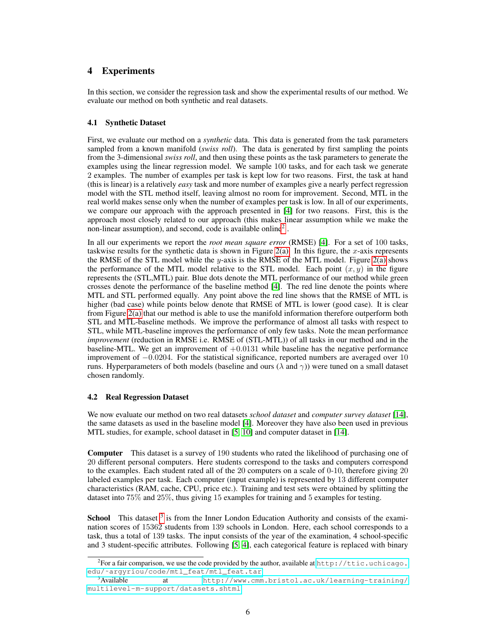# 4 Experiments

In this section, we consider the regression task and show the experimental results of our method. We evaluate our method on both synthetic and real datasets.

### 4.1 Synthetic Dataset

First, we evaluate our method on a *synthetic* data. This data is generated from the task parameters sampled from a known manifold (*swiss roll*). The data is generated by first sampling the points from the 3-dimensional *swiss roll*, and then using these points as the task parameters to generate the examples using the linear regression model. We sample 100 tasks, and for each task we generate 2 examples. The number of examples per task is kept low for two reasons. First, the task at hand (this is linear) is a relatively *easy* task and more number of examples give a nearly perfect regression model with the STL method itself, leaving almost no room for improvement. Second, MTL in the real world makes sense only when the number of examples per task is low. In all of our experiments, we compare our approach with the approach presented in [4] for two reasons. First, this is the approach most closely related to our approach (this makes linear assumption while we make the non-linear assumption), and second, code is available online2 .

In all our experiments we report the *root mean square error* (RMSE) [4]. For a set of 100 tasks, taskwise results for the synthetic data is shown in Figure 2(a). In this figure, the x-axis represents the RMSE of the STL model while the y-axis is the RMSE of the MTL model. Figure  $2(a)$  shows the performance of the MTL model relative to the STL model. Each point  $(x, y)$  in the figure represents the (STL,MTL) pair. Blue dots denote the MTL performance of our method while green crosses denote the performance of the baseline method [4]. The red line denote the points where MTL and STL performed equally. Any point above the red line shows that the RMSE of MTL is higher (bad case) while points below denote that RMSE of MTL is lower (good case). It is clear from Figure 2(a) that our method is able to use the manifold information therefore outperform both STL and MTL-baseline methods. We improve the performance of almost all tasks with respect to STL, while MTL-baseline improves the performance of only few tasks. Note the mean performance *improvement* (reduction in RMSE i.e. RMSE of (STL-MTL)) of all tasks in our method and in the baseline-MTL. We get an improvement of  $+0.0131$  while baseline has the negative performance improvement of −0.0204. For the statistical significance, reported numbers are averaged over 10 runs. Hyperparameters of both models (baseline and ours ( $\lambda$  and  $\gamma$ )) were tuned on a small dataset chosen randomly.

#### 4.2 Real Regression Dataset

We now evaluate our method on two real datasets *school dataset* and *computer survey dataset* [14], the same datasets as used in the baseline model [4]. Moreover they have also been used in previous MTL studies, for example, school dataset in [5, 10] and computer dataset in [14].

Computer This dataset is a survey of 190 students who rated the likelihood of purchasing one of 20 different personal computers. Here students correspond to the tasks and computers correspond to the examples. Each student rated all of the 20 computers on a scale of 0-10, therefore giving 20 labeled examples per task. Each computer (input example) is represented by 13 different computer characteristics (RAM, cache, CPU, price etc.). Training and test sets were obtained by splitting the dataset into 75% and 25%, thus giving 15 examples for training and 5 examples for testing.

School This dataset <sup>3</sup> is from the Inner London Education Authority and consists of the examination scores of 15362 students from 139 schools in London. Here, each school corresponds to a task, thus a total of 139 tasks. The input consists of the year of the examination, 4 school-specific and 3 student-specific attributes. Following [5, 4], each categorical feature is replaced with binary

<sup>&</sup>lt;sup>2</sup> For a fair comparison, we use the code provided by the author, available at  $http://title.uchicago.$ edu/~argyriou/code/mtl\_feat/mtl\_feat.tar.<br><sup>3</sup>Available at http://www.cmm

at [http://www.cmm.bristol.ac.uk/learning-training/](http://www.cmm.bristol.ac.uk/learning-training/multilevel-m-support/datasets.shtml) [multilevel-m-support/datasets.shtml](http://www.cmm.bristol.ac.uk/learning-training/multilevel-m-support/datasets.shtml)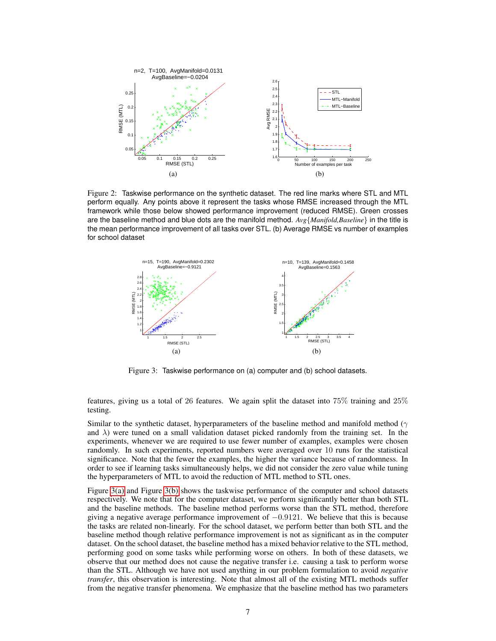

Figure 2: Taskwise performance on the synthetic dataset. The red line marks where STL and MTL perform equally. Any points above it represent the tasks whose RMSE increased through the MTL framework while those below showed performance improvement (reduced RMSE). Green crosses are the baseline method and blue dots are the manifold method. *Avg*{*Manifold,Baseline*} in the title is the mean performance improvement of all tasks over STL. (b) Average RMSE vs number of examples for school dataset



Figure 3: Taskwise performance on (a) computer and (b) school datasets.

features, giving us a total of 26 features. We again split the dataset into 75% training and 25% testing.

Similar to the synthetic dataset, hyperparameters of the baseline method and manifold method ( $\gamma$ and  $\lambda$ ) were tuned on a small validation dataset picked randomly from the training set. In the experiments, whenever we are required to use fewer number of examples, examples were chosen randomly. In such experiments, reported numbers were averaged over 10 runs for the statistical significance. Note that the fewer the examples, the higher the variance because of randomness. In order to see if learning tasks simultaneously helps, we did not consider the zero value while tuning the hyperparameters of MTL to avoid the reduction of MTL method to STL ones.

Figure 3(a) and Figure 3(b) shows the taskwise performance of the computer and school datasets respectively. We note that for the computer dataset, we perform significantly better than both STL and the baseline methods. The baseline method performs worse than the STL method, therefore giving a negative average performance improvement of  $-0.9121$ . We believe that this is because the tasks are related non-linearly. For the school dataset, we perform better than both STL and the baseline method though relative performance improvement is not as significant as in the computer dataset. On the school dataset, the baseline method has a mixed behavior relative to the STL method, performing good on some tasks while performing worse on others. In both of these datasets, we observe that our method does not cause the negative transfer i.e. causing a task to perform worse than the STL. Although we have not used anything in our problem formulation to avoid *negative transfer*, this observation is interesting. Note that almost all of the existing MTL methods suffer from the negative transfer phenomena. We emphasize that the baseline method has two parameters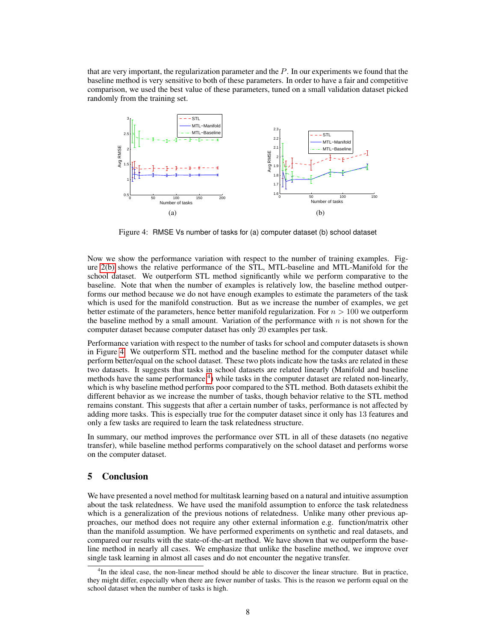that are very important, the regularization parameter and the  $P$ . In our experiments we found that the baseline method is very sensitive to both of these parameters. In order to have a fair and competitive comparison, we used the best value of these parameters, tuned on a small validation dataset picked randomly from the training set.



Figure 4: RMSE Vs number of tasks for (a) computer dataset (b) school dataset

Now we show the performance variation with respect to the number of training examples. Figure 2(b) shows the relative performance of the STL, MTL-baseline and MTL-Manifold for the school dataset. We outperform STL method significantly while we perform comparative to the baseline. Note that when the number of examples is relatively low, the baseline method outperforms our method because we do not have enough examples to estimate the parameters of the task which is used for the manifold construction. But as we increase the number of examples, we get better estimate of the parameters, hence better manifold regularization. For  $n > 100$  we outperform the baseline method by a small amount. Variation of the performance with  $n$  is not shown for the computer dataset because computer dataset has only 20 examples per task.

Performance variation with respect to the number of tasks for school and computer datasets is shown in Figure 4. We outperform STL method and the baseline method for the computer dataset while perform better/equal on the school dataset. These two plots indicate how the tasks are related in these two datasets. It suggests that tasks in school datasets are related linearly (Manifold and baseline methods have the same performance <sup>4</sup>) while tasks in the computer dataset are related non-linearly, which is why baseline method performs poor compared to the STL method. Both datasets exhibit the different behavior as we increase the number of tasks, though behavior relative to the STL method remains constant. This suggests that after a certain number of tasks, performance is not affected by adding more tasks. This is especially true for the computer dataset since it only has 13 features and only a few tasks are required to learn the task relatedness structure.

In summary, our method improves the performance over STL in all of these datasets (no negative transfer), while baseline method performs comparatively on the school dataset and performs worse on the computer dataset.

## 5 Conclusion

We have presented a novel method for multitask learning based on a natural and intuitive assumption about the task relatedness. We have used the manifold assumption to enforce the task relatedness which is a generalization of the previous notions of relatedness. Unlike many other previous approaches, our method does not require any other external information e.g. function/matrix other than the manifold assumption. We have performed experiments on synthetic and real datasets, and compared our results with the state-of-the-art method. We have shown that we outperform the baseline method in nearly all cases. We emphasize that unlike the baseline method, we improve over single task learning in almost all cases and do not encounter the negative transfer.

<sup>&</sup>lt;sup>4</sup>In the ideal case, the non-linear method should be able to discover the linear structure. But in practice, they might differ, especially when there are fewer number of tasks. This is the reason we perform equal on the school dataset when the number of tasks is high.